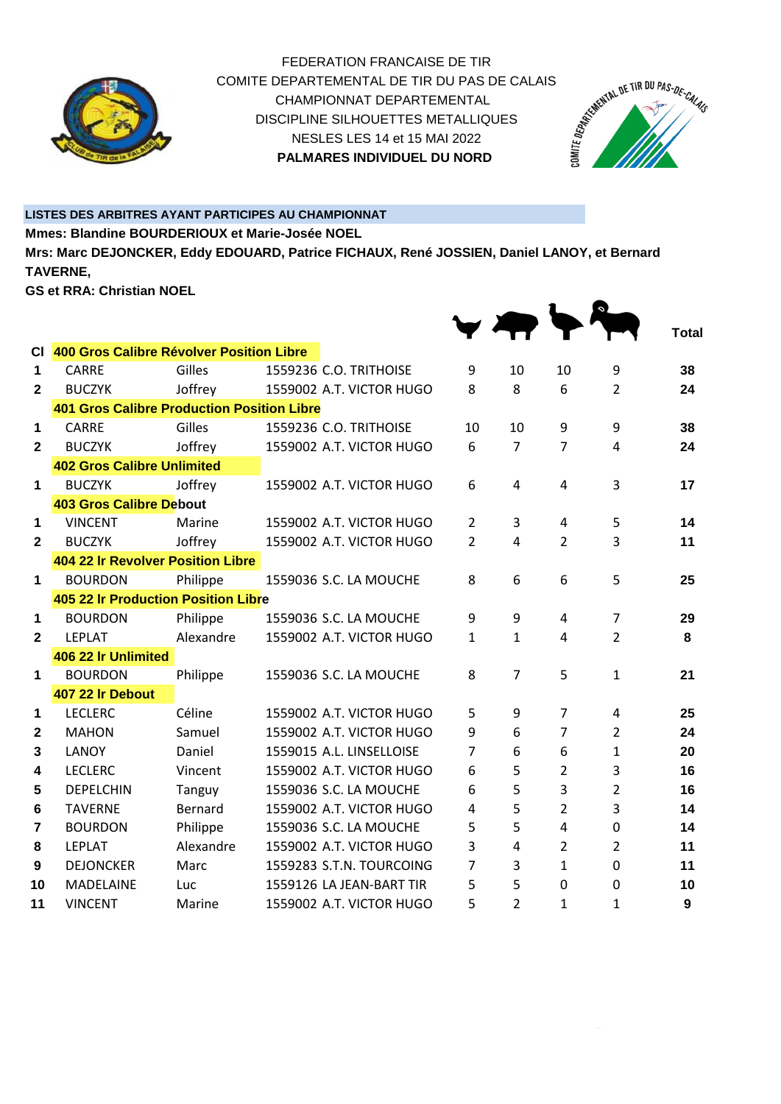

FEDERATION FRANCAISE DE TIR COMITE DEPARTEMENTAL DE TIR DU PAS DE CALAIS<br>CHAMPIONNAT DEPARTEMENTAL<br>DISCIPLINE SILHOUETTES METALLIQUES<br>NESLES LES 14 et 15 MAI 2022<br>**PALMARES INDIVIREES** CHAMPIONNAT DEPARTEMENTAL DISCIPLINE SILHOUETTES METALLIQUES NESLES LES 14 et 15 MAI 2022 **PALMARES INDIVIDUEL DU NORD** 



 $\bullet$ 

 $\mathbf{1}$ 

## **LISTES DES ARBITRES AYANT PARTICIPES AU CHAMPIONNAT**

**Mmes: Blandine BOURDERIOUX et Marie-Josée NOEL**

**Mrs: Marc DEJONCKER, Eddy EDOUARD, Patrice FICHAUX, René JOSSIEN, Daniel LANOY, et Bernard TAVERNE,**

**GS et RRA: Christian NOEL**

|                |                                                   |           |                          |                |                |                |                | <b>Total</b> |
|----------------|---------------------------------------------------|-----------|--------------------------|----------------|----------------|----------------|----------------|--------------|
| СI             | 400 Gros Calibre Révolver Position Libre          |           |                          |                |                |                |                |              |
| 1              | <b>CARRE</b>                                      | Gilles    | 1559236 C.O. TRITHOISE   | 9              | 10             | 10             | 9              | 38           |
| $\mathbf{2}$   | <b>BUCZYK</b>                                     | Joffrey   | 1559002 A.T. VICTOR HUGO | 8              | 8              | 6              | $\overline{2}$ | 24           |
|                | <b>401 Gros Calibre Production Position Libre</b> |           |                          |                |                |                |                |              |
| 1              | <b>CARRE</b>                                      | Gilles    | 1559236 C.O. TRITHOISE   | 10             | 10             | 9              | 9              | 38           |
| $\mathbf{2}$   | <b>BUCZYK</b>                                     | Joffrey   | 1559002 A.T. VICTOR HUGO | 6              | $\overline{7}$ | 7              | 4              | 24           |
|                | <b>402 Gros Calibre Unlimited</b>                 |           |                          |                |                |                |                |              |
| 1              | <b>BUCZYK</b>                                     | Joffrey   | 1559002 A.T. VICTOR HUGO | 6              | 4              | 4              | 3              | 17           |
|                | <b>403 Gros Calibre Debout</b>                    |           |                          |                |                |                |                |              |
| 1              | <b>VINCENT</b>                                    | Marine    | 1559002 A.T. VICTOR HUGO | $\overline{2}$ | 3              | 4              | 5              | 14           |
| $\mathbf{2}$   | <b>BUCZYK</b>                                     | Joffrey   | 1559002 A.T. VICTOR HUGO | $\overline{2}$ | 4              | $\overline{2}$ | 3              | 11           |
|                | 404 22 Ir Revolver Position Libre                 |           |                          |                |                |                |                |              |
| 1              | <b>BOURDON</b>                                    | Philippe  | 1559036 S.C. LA MOUCHE   | 8              | 6              | 6              | 5              | 25           |
|                | <b>405 22 Ir Production Position Libre</b>        |           |                          |                |                |                |                |              |
| 1              | <b>BOURDON</b>                                    | Philippe  | 1559036 S.C. LA MOUCHE   | 9              | 9              | 4              | $\overline{7}$ | 29           |
| $\mathbf{2}$   | <b>LEPLAT</b>                                     | Alexandre | 1559002 A.T. VICTOR HUGO | $\mathbf{1}$   | 1              | 4              | $\overline{2}$ | 8            |
|                | 406 22 Ir Unlimited                               |           |                          |                |                |                |                |              |
| 1              | <b>BOURDON</b>                                    | Philippe  | 1559036 S.C. LA MOUCHE   | 8              | 7              | 5              | $\mathbf{1}$   | 21           |
|                | 407 22 Ir Debout                                  |           |                          |                |                |                |                |              |
| 1              | <b>LECLERC</b>                                    | Céline    | 1559002 A.T. VICTOR HUGO | 5              | 9              | $\overline{7}$ | 4              | 25           |
| $\mathbf{2}$   | <b>MAHON</b>                                      | Samuel    | 1559002 A.T. VICTOR HUGO | 9              | 6              | $\overline{7}$ | 2              | 24           |
| 3              | LANOY                                             | Daniel    | 1559015 A.L. LINSELLOISE | $\overline{7}$ | 6              | 6              | $\mathbf{1}$   | 20           |
| 4              | <b>LECLERC</b>                                    | Vincent   | 1559002 A.T. VICTOR HUGO | 6              | 5              | $\overline{2}$ | 3              | 16           |
| 5              | <b>DEPELCHIN</b>                                  | Tanguy    | 1559036 S.C. LA MOUCHE   | 6              | 5              | 3              | $\overline{2}$ | 16           |
| 6              | <b>TAVERNE</b>                                    | Bernard   | 1559002 A.T. VICTOR HUGO | 4              | 5              | $\overline{2}$ | 3              | 14           |
| $\overline{7}$ | <b>BOURDON</b>                                    | Philippe  | 1559036 S.C. LA MOUCHE   | 5              | 5              | 4              | 0              | 14           |
| 8              | <b>LEPLAT</b>                                     | Alexandre | 1559002 A.T. VICTOR HUGO | 3              | $\overline{4}$ | $\overline{2}$ | $\overline{2}$ | 11           |
| 9              | <b>DEJONCKER</b>                                  | Marc      | 1559283 S.T.N. TOURCOING | 7              | 3              | $\mathbf{1}$   | 0              | 11           |
| 10             | <b>MADELAINE</b>                                  | Luc       | 1559126 LA JEAN-BART TIR | 5              | 5              | 0              | 0              | 10           |
| 11             | <b>VINCENT</b>                                    | Marine    | 1559002 A.T. VICTOR HUGO | 5              | $\overline{2}$ | $\mathbf{1}$   | $\mathbf{1}$   | 9            |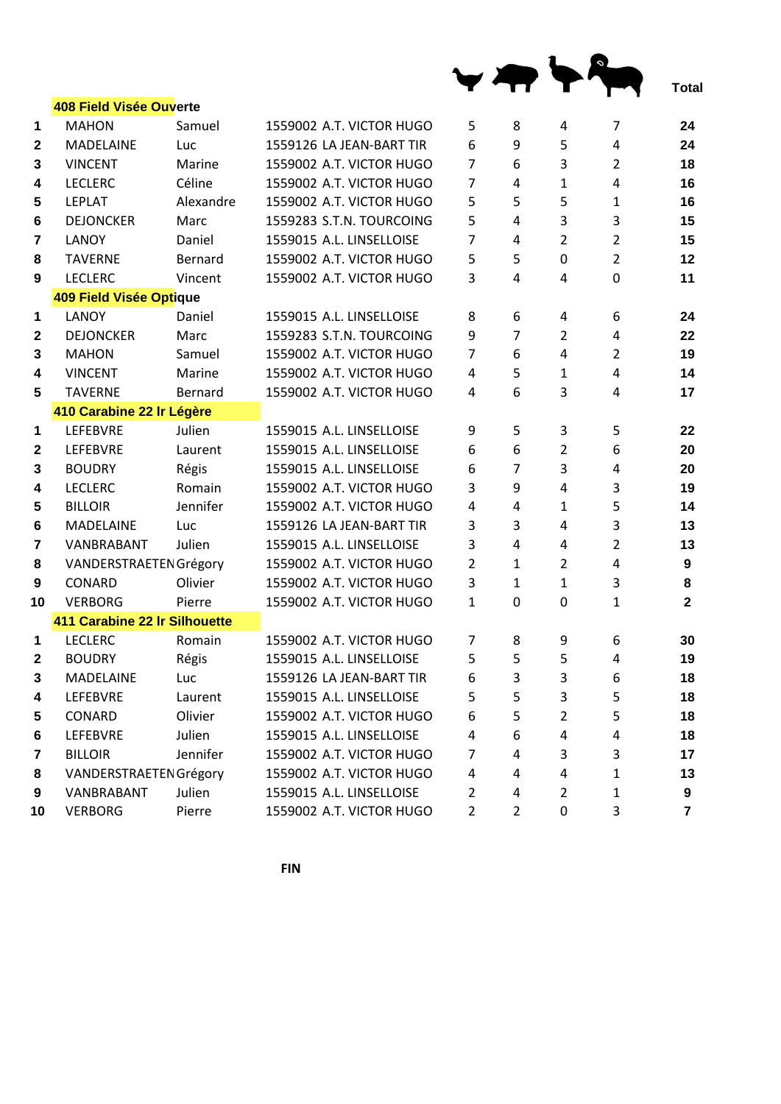|                   |                                         |           |                          |                |                |                |                | Total          |
|-------------------|-----------------------------------------|-----------|--------------------------|----------------|----------------|----------------|----------------|----------------|
|                   | 408 Field Visée Ouverte<br><b>MAHON</b> | Samuel    | 1559002 A.T. VICTOR HUGO |                | 8              | 4              | 7              | 24             |
| 1<br>$\mathbf{2}$ | <b>MADELAINE</b>                        | Luc       | 1559126 LA JEAN-BART TIR | 5<br>6         | 9              | 5              | 4              | 24             |
| 3                 | <b>VINCENT</b>                          | Marine    | 1559002 A.T. VICTOR HUGO | $\overline{7}$ | 6              | 3              | 2              | 18             |
| 4                 | <b>LECLERC</b>                          | Céline    | 1559002 A.T. VICTOR HUGO | $\overline{7}$ | 4              | 1              | 4              | 16             |
| 5                 | <b>LEPLAT</b>                           | Alexandre | 1559002 A.T. VICTOR HUGO | 5              | 5              | 5              | 1              | 16             |
| 6                 | <b>DEJONCKER</b>                        | Marc      | 1559283 S.T.N. TOURCOING | 5              | 4              | 3              | 3              | 15             |
| $\overline{7}$    | LANOY                                   | Daniel    | 1559015 A.L. LINSELLOISE | $\overline{7}$ | 4              | $\overline{2}$ | $\overline{2}$ | 15             |
| 8                 | <b>TAVERNE</b>                          | Bernard   | 1559002 A.T. VICTOR HUGO | 5              | 5              | $\mathbf 0$    | $\overline{2}$ | 12             |
| 9                 | <b>LECLERC</b>                          | Vincent   | 1559002 A.T. VICTOR HUGO | 3              | 4              | $\overline{4}$ | 0              | 11             |
|                   | 409 Field Visée Optique                 |           |                          |                |                |                |                |                |
| 1                 | LANOY                                   | Daniel    | 1559015 A.L. LINSELLOISE | 8              | 6              | 4              | 6              | 24             |
| $\mathbf{2}$      | <b>DEJONCKER</b>                        | Marc      | 1559283 S.T.N. TOURCOING | 9              | $\overline{7}$ | $\overline{2}$ | 4              | 22             |
| 3                 | <b>MAHON</b>                            | Samuel    | 1559002 A.T. VICTOR HUGO | $\overline{7}$ | 6              | $\overline{4}$ | $\overline{2}$ | 19             |
| 4                 | <b>VINCENT</b>                          | Marine    | 1559002 A.T. VICTOR HUGO | 4              | 5              | $\mathbf{1}$   | 4              | 14             |
| 5                 | <b>TAVERNE</b>                          | Bernard   | 1559002 A.T. VICTOR HUGO | 4              | 6              | 3              | 4              | 17             |
|                   | 410 Carabine 22 Ir Légère               |           |                          |                |                |                |                |                |
| 1                 | LEFEBVRE                                | Julien    | 1559015 A.L. LINSELLOISE | 9              | 5              | 3              | 5              | 22             |
| 2                 | <b>LEFEBVRE</b>                         | Laurent   | 1559015 A.L. LINSELLOISE | 6              | 6              | $\overline{2}$ | 6              | 20             |
| 3                 | <b>BOUDRY</b>                           | Régis     | 1559015 A.L. LINSELLOISE | 6              | 7              | 3              | 4              | 20             |
| 4                 | <b>LECLERC</b>                          | Romain    | 1559002 A.T. VICTOR HUGO | 3              | 9              | $\overline{4}$ | 3              | 19             |
| 5                 | <b>BILLOIR</b>                          | Jennifer  | 1559002 A.T. VICTOR HUGO | 4              | 4              | $\mathbf{1}$   | 5              | 14             |
| 6                 | <b>MADELAINE</b>                        | Luc       | 1559126 LA JEAN-BART TIR | 3              | 3              | 4              | 3              | 13             |
| 7                 | VANBRABANT                              | Julien    | 1559015 A.L. LINSELLOISE | 3              | $\overline{4}$ | 4              | $\overline{2}$ | 13             |
| 8                 | VANDERSTRAETEN Grégory                  |           | 1559002 A.T. VICTOR HUGO | $\overline{2}$ | $\mathbf{1}$   | $\overline{2}$ | 4              | 9              |
| 9                 | CONARD                                  | Olivier   | 1559002 A.T. VICTOR HUGO | 3              | 1              | $\mathbf{1}$   | 3              | 8              |
| 10                | <b>VERBORG</b>                          | Pierre    | 1559002 A.T. VICTOR HUGO | $\mathbf{1}$   | $\mathbf{0}$   | $\overline{0}$ | $\mathbf{1}$   | $\overline{2}$ |
|                   | 411 Carabine 22 Ir Silhouette           |           |                          |                |                |                |                |                |
| 1                 | <b>LECLERC</b>                          | Romain    | 1559002 A.T. VICTOR HUGO | 7              | 8              | 9              | 6              | 30             |
| $\mathbf{2}$      | <b>BOUDRY</b>                           | Régis     | 1559015 A.L. LINSELLOISE | 5              | 5              | 5              | 4              | 19             |
| 3                 | <b>MADELAINE</b>                        | Luc       | 1559126 LA JEAN-BART TIR | 6              | 3              | 3              | 6              | 18             |
| 4                 | LEFEBVRE                                | Laurent   | 1559015 A.L. LINSELLOISE | 5              | 5              | 3              | 5              | 18             |
| 5                 | CONARD                                  | Olivier   | 1559002 A.T. VICTOR HUGO | 6              | 5              | $\overline{2}$ | 5              | 18             |
| 6                 | LEFEBVRE                                | Julien    | 1559015 A.L. LINSELLOISE | 4              | 6              | 4              | 4              | 18             |
| 7                 | <b>BILLOIR</b>                          | Jennifer  | 1559002 A.T. VICTOR HUGO | 7              | 4              | 3              | 3              | 17             |
| 8                 | <b>VANDERSTRAETEN Grégory</b>           |           | 1559002 A.T. VICTOR HUGO | 4              | 4              | 4              | 1              | 13             |
| 9                 | VANBRABANT                              | Julien    | 1559015 A.L. LINSELLOISE | $\overline{2}$ | 4              | $\overline{2}$ | 1              | 9              |
| 10                | <b>VERBORG</b>                          | Pierre    | 1559002 A.T. VICTOR HUGO | $\overline{2}$ | $\overline{2}$ | $\mathbf 0$    | 3              | $\overline{7}$ |

**FIN**